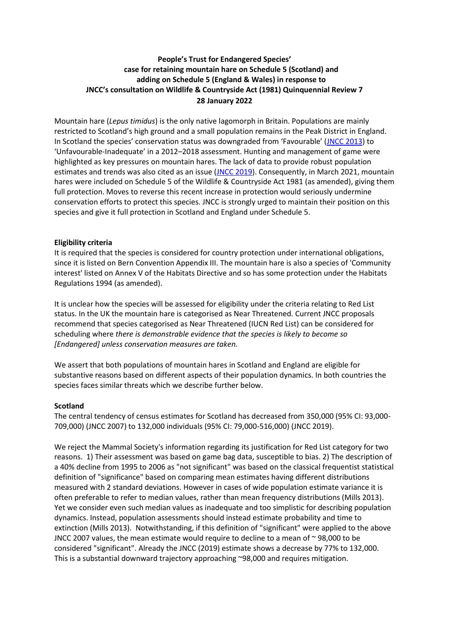# **People's Trust for Endangered Species' case for retaining mountain hare on Schedule 5 (Scotland) and adding on Schedule 5 (England & Wales) in response to JNCC's consultation on Wildlife & Countryside Act (1981) Quinquennial Review 7 28 January 2022**

Mountain hare (*Lepus timidus*) is the only native lagomorph in Britain. Populations are mainly restricted to Scotland's high ground and a small population remains in the Peak District in England. In Scotland the species' conservation status was downgraded from 'Favourable' ([JNCC 2013\)](https://bioone.org/journals/wildlife-biology/volume-2020/issue-2/wlb.00650/Distribution-of-mountain-hares-Lepus-timidus-in-Scotland-in-2016/10.2981/wlb.00650.full#bibr21) to 'Unfavourable-Inadequate' in a 2012–2018 assessment. Hunting and management of game were highlighted as key pressures on mountain hares. The lack of data to provide robust population estimates and trends was also cited as an issue [\(JNCC 2019\)](https://bioone.org/journals/wildlife-biology/volume-2020/issue-2/wlb.00650/Distribution-of-mountain-hares-Lepus-timidus-in-Scotland-in-2016/10.2981/wlb.00650.full#bibr22). Consequently, in March 2021, mountain hares were included on Schedule 5 of the Wildlife & Countryside Act 1981 (as amended), giving them full protection. Moves to reverse this recent increase in protection would seriously undermine conservation efforts to protect this species. JNCC is strongly urged to maintain their position on this species and give it full protection in Scotland and England under Schedule 5.

# **Eligibility criteria**

It is required that the species is considered for country protection under international obligations, since it is listed on Bern Convention Appendix III. The mountain hare is also a species of 'Community interest' listed on Annex V of the Habitats Directive and so has some protection under the Habitats Regulations 1994 (as amended).

It is unclear how the species will be assessed for eligibility under the criteria relating to Red List status. In the UK the mountain hare is categorised as Near Threatened. Current JNCC proposals recommend that species categorised as Near Threatened (IUCN Red List) can be considered for scheduling where *there is demonstrable evidence that the species is likely to become so [Endangered] unless conservation measures are taken.* 

We assert that both populations of mountain hares in Scotland and England are eligible for substantive reasons based on different aspects of their population dynamics. In both countries the species faces similar threats which we describe further below.

## **Scotland**

The central tendency of census estimates for Scotland has decreased from 350,000 (95% CI: 93,000- 709,000) (JNCC 2007) to 132,000 individuals (95% CI: 79,000-516,000) (JNCC 2019).

We reject the Mammal Society's information regarding its justification for Red List category for two reasons. 1) Their assessment was based on game bag data, susceptible to bias. 2) The description of a 40% decline from 1995 to 2006 as "not significant" was based on the classical frequentist statistical definition of "significance" based on comparing mean estimates having different distributions measured with 2 standard deviations. However in cases of wide population estimate variance it is often preferable to refer to median values, rather than mean frequency distributions (Mills 2013). Yet we consider even such median values as inadequate and too simplistic for describing population dynamics. Instead, population assessments should instead estimate probability and time to extinction (Mills 2013). Notwithstanding, if this definition of "significant" were applied to the above JNCC 2007 values, the mean estimate would require to decline to a mean of ~ 98,000 to be considered "significant". Already the JNCC (2019) estimate shows a decrease by 77% to 132,000. This is a substantial downward trajectory approaching ~98,000 and requires mitigation.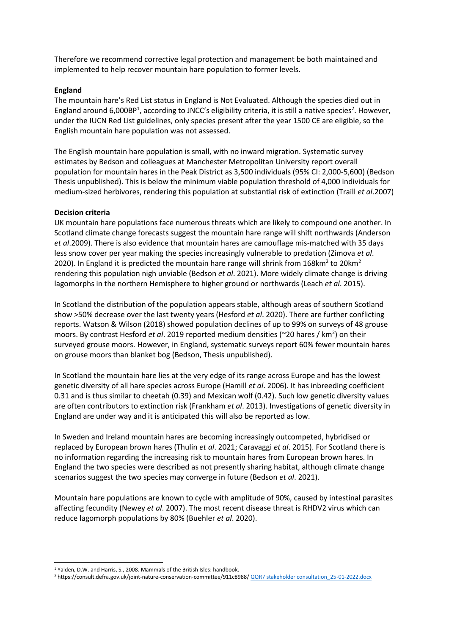Therefore we recommend corrective legal protection and management be both maintained and implemented to help recover mountain hare population to former levels.

### **England**

The mountain hare's Red List status in England is Not Evaluated. Although the species died out in England around 6,000BP<sup>1</sup>, according to JNCC's eligibility criteria, it is still a native species<sup>2</sup>. However, under the IUCN Red List guidelines, only species present after the year 1500 CE are eligible, so the English mountain hare population was not assessed.

The English mountain hare population is small, with no inward migration. Systematic survey estimates by Bedson and colleagues at Manchester Metropolitan University report overall population for mountain hares in the Peak District as 3,500 individuals (95% CI: 2,000-5,600) (Bedson Thesis unpublished). This is below the minimum viable population threshold of 4,000 individuals for medium-sized herbivores, rendering this population at substantial risk of extinction (Traill *et al*.2007)

### **Decision criteria**

UK mountain hare populations face numerous threats which are likely to compound one another. In Scotland climate change forecasts suggest the mountain hare range will shift northwards (Anderson *et al*.2009). There is also evidence that mountain hares are camouflage mis-matched with 35 days less snow cover per year making the species increasingly vulnerable to predation (Zimova *et al*. 2020). In England it is predicted the mountain hare range will shrink from 168 $km^2$  to 20 $km^2$ rendering this population nigh unviable (Bedson *et al*. 2021). More widely climate change is driving lagomorphs in the northern Hemisphere to higher ground or northwards (Leach *et al*. 2015).

In Scotland the distribution of the population appears stable, although areas of southern Scotland show >50% decrease over the last twenty years (Hesford *et al*. 2020). There are further conflicting reports. Watson & Wilson (2018) showed population declines of up to 99% on surveys of 48 grouse moors. By contrast Hesford *et al*. 2019 reported medium densities (~20 hares / km<sup>2</sup>) on their surveyed grouse moors. However, in England, systematic surveys report 60% fewer mountain hares on grouse moors than blanket bog (Bedson, Thesis unpublished).

In Scotland the mountain hare lies at the very edge of its range across Europe and has the lowest genetic diversity of all hare species across Europe (Hamill *et al*. 2006). It has inbreeding coefficient 0.31 and is thus similar to cheetah (0.39) and Mexican wolf (0.42). Such low genetic diversity values are often contributors to extinction risk (Frankham *et al*. 2013). Investigations of genetic diversity in England are under way and it is anticipated this will also be reported as low.

In Sweden and Ireland mountain hares are becoming increasingly outcompeted, hybridised or replaced by European brown hares (Thulin *et al*. 2021; Caravaggi *et al*. 2015). For Scotland there is no information regarding the increasing risk to mountain hares from European brown hares. In England the two species were described as not presently sharing habitat, although climate change scenarios suggest the two species may converge in future (Bedson *et al*. 2021).

Mountain hare populations are known to cycle with amplitude of 90%, caused by intestinal parasites affecting fecundity (Newey *et al*. 2007). The most recent disease threat is RHDV2 virus which can reduce lagomorph populations by 80% (Buehler *et al*. 2020).

<sup>&</sup>lt;sup>1</sup> Yalden, D.W. and Harris, S., 2008. Mammals of the British Isles: handbook.

<sup>&</sup>lt;sup>2</sup> https://consult.defra.gov.uk/joint-nature-conservation-committee/911c8988/ QQR7 stakeholder consultation\_25-01-2022.docx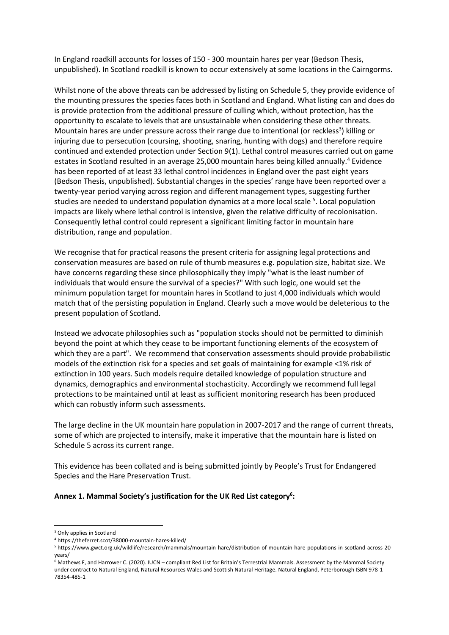In England roadkill accounts for losses of 150 - 300 mountain hares per year (Bedson Thesis, unpublished). In Scotland roadkill is known to occur extensively at some locations in the Cairngorms.

Whilst none of the above threats can be addressed by listing on Schedule 5, they provide evidence of the mounting pressures the species faces both in Scotland and England. What listing can and does do is provide protection from the additional pressure of culling which, without protection, has the opportunity to escalate to levels that are unsustainable when considering these other threats. Mountain hares are under pressure across their range due to intentional (or reckless<sup>3</sup>) killing or injuring due to persecution (coursing, shooting, snaring, hunting with dogs) and therefore require continued and extended protection under Section 9(1). Lethal control measures carried out on game estates in Scotland resulted in an average 25,000 mountain hares being killed annually.<sup>4</sup> Evidence has been reported of at least 33 lethal control incidences in England over the past eight years (Bedson Thesis, unpublished). Substantial changes in the species' range have been reported over a twenty-year period varying across region and different management types, suggesting further studies are needed to understand population dynamics at a more local scale <sup>5</sup>. Local population impacts are likely where lethal control is intensive, given the relative difficulty of recolonisation. Consequently lethal control could represent a significant limiting factor in mountain hare distribution, range and population.

We recognise that for practical reasons the present criteria for assigning legal protections and conservation measures are based on rule of thumb measures e.g. population size, habitat size. We have concerns regarding these since philosophically they imply "what is the least number of individuals that would ensure the survival of a species?" With such logic, one would set the minimum population target for mountain hares in Scotland to just 4,000 individuals which would match that of the persisting population in England. Clearly such a move would be deleterious to the present population of Scotland.

Instead we advocate philosophies such as "population stocks should not be permitted to diminish beyond the point at which they cease to be important functioning elements of the ecosystem of which they are a part". We recommend that conservation assessments should provide probabilistic models of the extinction risk for a species and set goals of maintaining for example <1% risk of extinction in 100 years. Such models require detailed knowledge of population structure and dynamics, demographics and environmental stochasticity. Accordingly we recommend full legal protections to be maintained until at least as sufficient monitoring research has been produced which can robustly inform such assessments.

The large decline in the UK mountain hare population in 2007-2017 and the range of current threats, some of which are projected to intensify, make it imperative that the mountain hare is listed on Schedule 5 across its current range.

This evidence has been collated and is being submitted jointly by People's Trust for Endangered Species and the Hare Preservation Trust.

## **Annex 1. Mammal Society's justification for the UK Red List category<sup>6</sup> :**

<sup>3</sup> Only applies in Scotland

<sup>4</sup> https://theferret.scot/38000-mountain-hares-killed/

<sup>5</sup> https://www.gwct.org.uk/wildlife/research/mammals/mountain-hare/distribution-of-mountain-hare-populations-in-scotland-across-20 years/

<sup>6</sup> Mathews F, and Harrower C. (2020). IUCN – compliant Red List for Britain's Terrestrial Mammals. Assessment by the Mammal Society under contract to Natural England, Natural Resources Wales and Scottish Natural Heritage. Natural England, Peterborough ISBN 978-1- 78354-485-1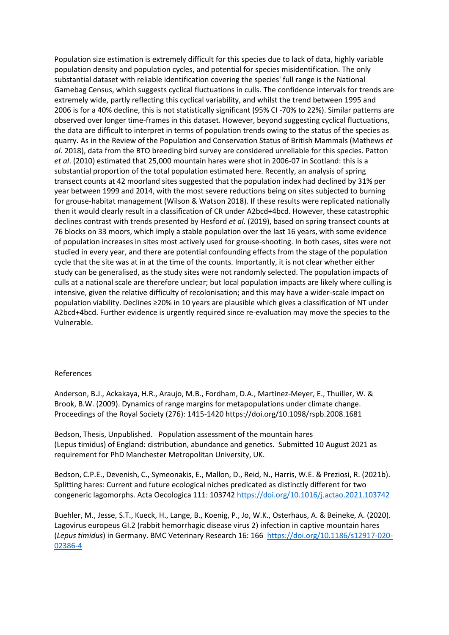Population size estimation is extremely difficult for this species due to lack of data, highly variable population density and population cycles, and potential for species misidentification. The only substantial dataset with reliable identification covering the species' full range is the National Gamebag Census, which suggests cyclical fluctuations in culls. The confidence intervals for trends are extremely wide, partly reflecting this cyclical variability, and whilst the trend between 1995 and 2006 is for a 40% decline, this is not statistically significant (95% CI -70% to 22%). Similar patterns are observed over longer time-frames in this dataset. However, beyond suggesting cyclical fluctuations, the data are difficult to interpret in terms of population trends owing to the status of the species as quarry. As in the Review of the Population and Conservation Status of British Mammals (Mathews *et al*. 2018), data from the BTO breeding bird survey are considered unreliable for this species. Patton *et al*. (2010) estimated that 25,000 mountain hares were shot in 2006-07 in Scotland: this is a substantial proportion of the total population estimated here. Recently, an analysis of spring transect counts at 42 moorland sites suggested that the population index had declined by 31% per year between 1999 and 2014, with the most severe reductions being on sites subjected to burning for grouse-habitat management (Wilson & Watson 2018). If these results were replicated nationally then it would clearly result in a classification of CR under A2bcd+4bcd. However, these catastrophic declines contrast with trends presented by Hesford *et al*. (2019), based on spring transect counts at 76 blocks on 33 moors, which imply a stable population over the last 16 years, with some evidence of population increases in sites most actively used for grouse-shooting. In both cases, sites were not studied in every year, and there are potential confounding effects from the stage of the population cycle that the site was at in at the time of the counts. Importantly, it is not clear whether either study can be generalised, as the study sites were not randomly selected. The population impacts of culls at a national scale are therefore unclear; but local population impacts are likely where culling is intensive, given the relative difficulty of recolonisation; and this may have a wider-scale impact on population viability. Declines ≥20% in 10 years are plausible which gives a classification of NT under A2bcd+4bcd. Further evidence is urgently required since re-evaluation may move the species to the Vulnerable.

### References

Anderson, B.J., Ackakaya, H.R., Araujo, M.B., Fordham, D.A., Martinez-Meyer, E., Thuiller, W. & Brook, B.W. (2009). Dynamics of range margins for metapopulations under climate change. Proceedings of the Royal Society (276): 1415-1420 https://doi.org/10.1098/rspb.2008.1681

Bedson, Thesis, Unpublished. Population assessment of the mountain hares (Lepus timidus) of England: distribution, abundance and genetics. Submitted 10 August 2021 as requirement for PhD Manchester Metropolitan University, UK.

Bedson, C.P.E., Devenish, C., Symeonakis, E., Mallon, D., Reid, N., Harris, W.E. & Preziosi, R. (2021b). Splitting hares: Current and future ecological niches predicated as distinctly different for two congeneric lagomorphs. Acta Oecologica 111: 103742<https://doi.org/10.1016/j.actao.2021.103742>

Buehler, M., Jesse, S.T., Kueck, H., Lange, B., Koenig, P., Jo, W.K., Osterhaus, A. & Beineke, A. (2020). Lagovirus europeus GI.2 (rabbit hemorrhagic disease virus 2) infection in captive mountain hares (*Lepus timidus*) in Germany. BMC Veterinary Research 16: 166 [https://doi.org/10.1186/s12917-020-](https://doi.org/10.1186/s12917-020-02386-4) [02386-4](https://doi.org/10.1186/s12917-020-02386-4)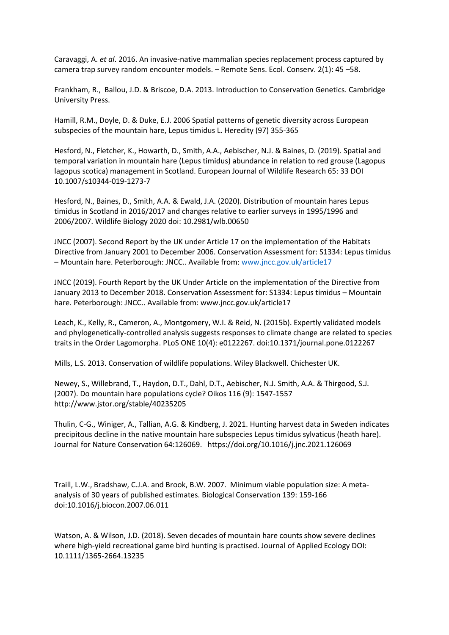Caravaggi, A. *et al*. 2016. An invasive-native mammalian species replacement process captured by camera trap survey random encounter models. – Remote Sens. Ecol. Conserv. 2(1): 45 –58.

Frankham, R., Ballou, J.D. & Briscoe, D.A. 2013. Introduction to Conservation Genetics. Cambridge University Press.

Hamill, R.M., Doyle, D. & Duke, E.J. 2006 Spatial patterns of genetic diversity across European subspecies of the mountain hare, Lepus timidus L. Heredity (97) 355-365

Hesford, N., Fletcher, K., Howarth, D., Smith, A.A., Aebischer, N.J. & Baines, D. (2019). Spatial and temporal variation in mountain hare (Lepus timidus) abundance in relation to red grouse (Lagopus lagopus scotica) management in Scotland. European Journal of Wildlife Research 65: 33 DOI 10.1007/s10344-019-1273-7

Hesford, N., Baines, D., Smith, A.A. & Ewald, J.A. (2020). Distribution of mountain hares Lepus timidus in Scotland in 2016/2017 and changes relative to earlier surveys in 1995/1996 and 2006/2007. Wildlife Biology 2020 doi: 10.2981/wlb.00650

JNCC (2007). Second Report by the UK under Article 17 on the implementation of the Habitats Directive from January 2001 to December 2006. Conservation Assessment for: S1334: Lepus timidus – Mountain hare. Peterborough: JNCC.. Available from: [www.jncc.gov.uk/article17](http://www.jncc.gov.uk/article17)

JNCC (2019). Fourth Report by the UK Under Article on the implementation of the Directive from January 2013 to December 2018. Conservation Assessment for: S1334: Lepus timidus – Mountain hare. Peterborough: JNCC.. Available from: www.jncc.gov.uk/article17

Leach, K., Kelly, R., Cameron, A., Montgomery, W.I. & Reid, N. (2015b). Expertly validated models and phylogenetically-controlled analysis suggests responses to climate change are related to species traits in the Order Lagomorpha. PLoS ONE 10(4): e0122267. doi:10.1371/journal.pone.0122267

Mills, L.S. 2013. Conservation of wildlife populations. Wiley Blackwell. Chichester UK.

Newey, S., Willebrand, T., Haydon, D.T., Dahl, D.T., Aebischer, N.J. Smith, A.A. & Thirgood, S.J. (2007). Do mountain hare populations cycle? Oikos 116 (9): 1547-1557 http://www.jstor.org/stable/40235205

Thulin, C-G., Winiger, A., Tallian, A.G. & Kindberg, J. 2021. Hunting harvest data in Sweden indicates precipitous decline in the native mountain hare subspecies Lepus timidus sylvaticus (heath hare). Journal for Nature Conservation 64:126069. https://doi.org/10.1016/j.jnc.2021.126069

Traill, L.W., Bradshaw, C.J.A. and Brook, B.W. 2007. Minimum viable population size: A metaanalysis of 30 years of published estimates. Biological Conservation 139: 159-166 doi:10.1016/j.biocon.2007.06.011

Watson, A. & Wilson, J.D. (2018). Seven decades of mountain hare counts show severe declines where high-yield recreational game bird hunting is practised. Journal of Applied Ecology DOI: 10.1111/1365-2664.13235